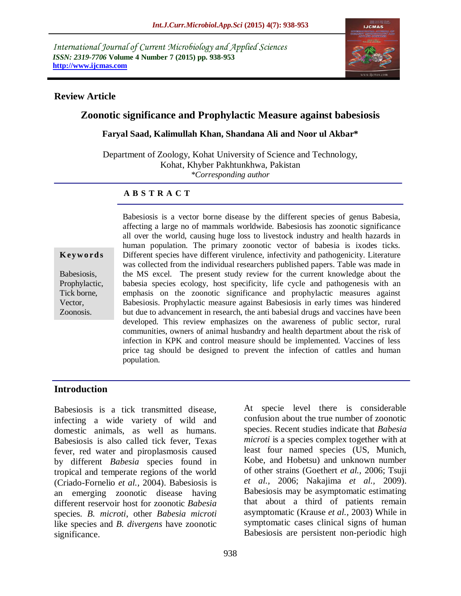*International Journal of Current Microbiology and Applied Sciences ISSN: 2319-7706* **Volume 4 Number 7 (2015) pp. 938-953 http://www.ijcmas.com** 



### **Review Article**

# **Zoonotic significance and Prophylactic Measure against babesiosis**

#### **Faryal Saad, Kalimullah Khan, Shandana Ali and Noor ul Akbar\***

Department of Zoology, Kohat University of Science and Technology, Kohat, Khyber Pakhtunkhwa, Pakistan *\*Corresponding author*

#### **A B S T R A C T**

**K ey w o rd s**

Babesiosis, Prophylactic, Tick borne, Vector, Zoonosis.

Babesiosis is a vector borne disease by the different species of genus Babesia, affecting a large no of mammals worldwide. Babesiosis has zoonotic significance all over the world, causing huge loss to livestock industry and health hazards in human population. The primary zoonotic vector of babesia is ixodes ticks. Different species have different virulence, infectivity and pathogenicity. Literature was collected from the individual researchers published papers. Table was made in the MS excel. The present study review for the current knowledge about the babesia species ecology, host specificity, life cycle and pathogenesis with an emphasis on the zoonotic significance and prophylactic measures against Babesiosis. Prophylactic measure against Babesiosis in early times was hindered but due to advancement in research, the anti babesial drugs and vaccines have been developed. This review emphasizes on the awareness of public sector, rural communities, owners of animal husbandry and health department about the risk of infection in KPK and control measure should be implemented. Vaccines of less price tag should be designed to prevent the infection of cattles and human population.

### **Introduction**

Babesiosis is a tick transmitted disease, infecting a wide variety of wild and domestic animals, as well as humans. Babesiosis is also called tick fever, Texas fever, red water and piroplasmosis caused by different *Babesia* species found in tropical and temperate regions of the world (Criado-Fornelio *et al.,* 2004). Babesiosis is an emerging zoonotic disease having different reservoir host for zoonotic *Babesia* species. *B. microti*, other *Babesia microti* like species and *B. divergens* have zoonotic significance.

At specie level there is considerable confusion about the true number of zoonotic species. Recent studies indicate that *Babesia microti* is a species complex together with at least four named species (US, Munich, Kobe, and Hobetsu) and unknown number of other strains (Goethert *et al.,* 2006; Tsuji *et al.,* 2006; Nakajima *et al.,* 2009). Babesiosis may be asymptomatic estimating that about a third of patients remain asymptomatic (Krause *et al.,* 2003) While in symptomatic cases clinical signs of human Babesiosis are persistent non-periodic high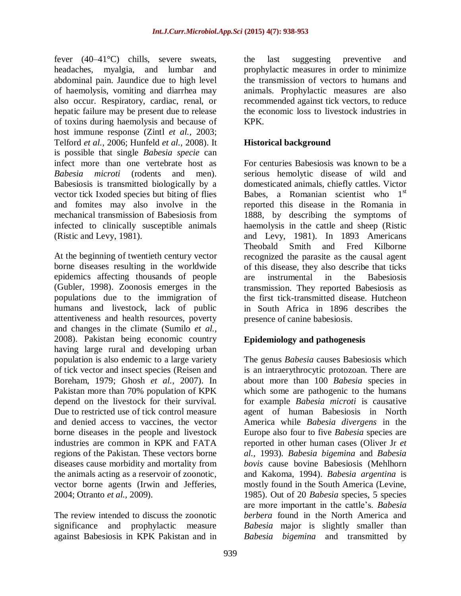fever (40–41°C) chills, severe sweats, headaches, myalgia, and lumbar and abdominal pain. Jaundice due to high level of haemolysis, vomiting and diarrhea may also occur. Respiratory, cardiac, renal, or hepatic failure may be present due to release of toxins during haemolysis and because of host immune response (Zintl *et al.,* 2003; Telford *et al.,* 2006; Hunfeld *et al.,* 2008). It is possible that single *Babesia specie* can infect more than one vertebrate host as *Babesia microti* (rodents and men). Babesiosis is transmitted biologically by a vector tick Ixoded species but biting of flies and fomites may also involve in the mechanical transmission of Babesiosis from infected to clinically susceptible animals (Ristic and Levy, 1981).

At the beginning of twentieth century vector borne diseases resulting in the worldwide epidemics affecting thousands of people (Gubler, 1998). Zoonosis emerges in the populations due to the immigration of humans and livestock, lack of public attentiveness and health resources, poverty and changes in the climate (Sumilo *et al.,* 2008). Pakistan being economic country having large rural and developing urban population is also endemic to a large variety of tick vector and insect species (Reisen and Boreham, 1979; Ghosh *et al.,* 2007). In Pakistan more than 70% population of KPK depend on the livestock for their survival. Due to restricted use of tick control measure and denied access to vaccines, the vector borne diseases in the people and livestock industries are common in KPK and FATA regions of the Pakistan. These vectors borne diseases cause morbidity and mortality from the animals acting as a reservoir of zoonotic, vector borne agents (Irwin and Jefferies, 2004; Otranto *et al.,* 2009).

The review intended to discuss the zoonotic significance and prophylactic measure against Babesiosis in KPK Pakistan and in

the last suggesting preventive and prophylactic measures in order to minimize the transmission of vectors to humans and animals. Prophylactic measures are also recommended against tick vectors, to reduce the economic loss to livestock industries in KPK.

## **Historical background**

For centuries Babesiosis was known to be a serious hemolytic disease of wild and domesticated animals, chiefly cattles. Victor Babes, a Romanian scientist who  $1<sup>st</sup>$ reported this disease in the Romania in 1888, by describing the symptoms of haemolysis in the cattle and sheep (Ristic and Levy, 1981). In 1893 Americans Theobald Smith and Fred Kilborne recognized the parasite as the causal agent of this disease, they also describe that ticks are instrumental in the Babesiosis transmission. They reported Babesiosis as the first tick-transmitted disease. Hutcheon in South Africa in 1896 describes the presence of canine babesiosis.

# **Epidemiology and pathogenesis**

The genus *Babesia* causes Babesiosis which is an intraerythrocytic protozoan. There are about more than 100 *Babesia* species in which some are pathogenic to the humans for example *Babesia microti* is causative agent of human Babesiosis in North America while *Babesia divergens* in the Europe also four to five *Babesia* species are reported in other human cases (Oliver Jr *et al.,* 1993). *Babesia bigemina* and *Babesia bovis* cause bovine Babesiosis (Mehlhorn and Kakoma, 1994). *Babesia argentina* is mostly found in the South America (Levine, 1985). Out of 20 *Babesia* species, 5 species are more important in the cattle's. *Babesia berbera* found in the North America and *Babesia* major is slightly smaller than *Babesia bigemina* and transmitted by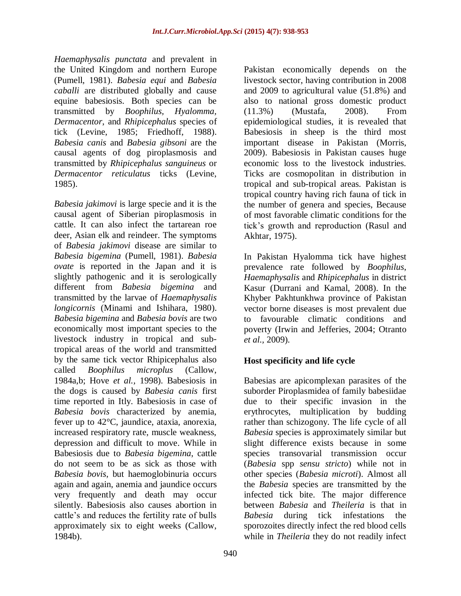*Haemaphysalis punctata* and prevalent in the United Kingdom and northern Europe (Pumell, 1981). *Babesia equi* and *Babesia caballi* are distributed globally and cause equine babesiosis. Both species can be transmitted by *Boophilus, Hyalomma, Dermacentor*, and *Rhipicephalus* species of tick (Levine, 1985; Friedhoff, 1988). *Babesia canis* and *Babesia gibsoni* are the causal agents of dog piroplasmosis and transmitted by *Rhipicephalus sanguineus* or *Dermacentor reticulatus* ticks (Levine, 1985).

*Babesia jakimovi* is large specie and it is the causal agent of Siberian piroplasmosis in cattle. It can also infect the tartarean roe deer, Asian elk and reindeer. The symptoms of *Babesia jakimovi* disease are similar to *Babesia bigemina* (Pumell, 1981). *Babesia ovate* is reported in the Japan and it is slightly pathogenic and it is serologically different from *Babesia bigemina* and transmitted by the larvae of *Haemaphysalis longicornis* (Minami and Ishihara, 1980). *Babesia bigemina* and *Babesia bovis* are two economically most important species to the livestock industry in tropical and subtropical areas of the world and transmitted by the same tick vector Rhipicephalus also called *Boophilus microplus* (Callow, 1984a,b; Hove *et al.,* 1998). Babesiosis in the dogs is caused by *Babesia canis* first time reported in Itly. Babesiosis in case of *Babesia bovis* characterized by anemia, fever up to 42°C, jaundice, ataxia, anorexia, increased respiratory rate, muscle weakness, depression and difficult to move. While in Babesiosis due to *Babesia bigemina*, cattle do not seem to be as sick as those with *Babesia bovis*, but haemoglobinuria occurs again and again, anemia and jaundice occurs very frequently and death may occur silently. Babesiosis also causes abortion in cattle's and reduces the fertility rate of bulls approximately six to eight weeks (Callow, 1984b).

Pakistan economically depends on the livestock sector, having contribution in 2008 and 2009 to agricultural value (51.8%) and also to national gross domestic product (11.3%) (Mustafa, 2008). From epidemiological studies, it is revealed that Babesiosis in sheep is the third most important disease in Pakistan (Morris, 2009). Babesiosis in Pakistan causes huge economic loss to the livestock industries. Ticks are cosmopolitan in distribution in tropical and sub-tropical areas. Pakistan is tropical country having rich fauna of tick in the number of genera and species, Because of most favorable climatic conditions for the tick's growth and reproduction (Rasul and Akhtar, 1975).

In Pakistan Hyalomma tick have highest prevalence rate followed by *Boophilus*, *Haemaphysalis* and *Rhipicephalus* in district Kasur (Durrani and Kamal, 2008). In the Khyber Pakhtunkhwa province of Pakistan vector borne diseases is most prevalent due to favourable climatic conditions and poverty (Irwin and Jefferies, 2004; Otranto *et al.,* 2009).

# **Host specificity and life cycle**

Babesias are apicomplexan parasites of the suborder Piroplasmidea of family babesiidae due to their specific invasion in the erythrocytes, multiplication by budding rather than schizogony. The life cycle of all *Babesia* species is approximately similar but slight difference exists because in some species transovarial transmission occur (*Babesia* spp *sensu stricto*) while not in other species (*Babesia microti*). Almost all the *Babesia* species are transmitted by the infected tick bite. The major difference between *Babesia* and *Theileria* is that in *Babesia* during tick infestations the sporozoites directly infect the red blood cells while in *Theileria* they do not readily infect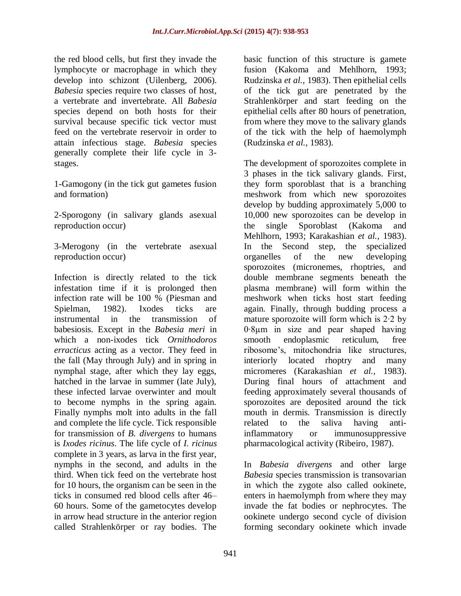the red blood cells, but first they invade the lymphocyte or macrophage in which they develop into schizont (Uilenberg, 2006). *Babesia* species require two classes of host, a vertebrate and invertebrate. All *Babesia* species depend on both hosts for their survival because specific tick vector must feed on the vertebrate reservoir in order to attain infectious stage. *Babesia* species generally complete their life cycle in 3 stages.

1-Gamogony (in the tick gut gametes fusion and formation)

2-Sporogony (in salivary glands asexual reproduction occur)

3-Merogony (in the vertebrate asexual reproduction occur)

Infection is directly related to the tick infestation time if it is prolonged then infection rate will be 100 % (Piesman and Spielman, 1982). Ixodes ticks are instrumental in the transmission of babesiosis. Except in the *Babesia meri* in which a non-ixodes tick *Ornithodoros erracticus* acting as a vector. They feed in the fall (May through July) and in spring in nymphal stage, after which they lay eggs, hatched in the larvae in summer (late July), these infected larvae overwinter and moult to become nymphs in the spring again. Finally nymphs molt into adults in the fall and complete the life cycle. Tick responsible for transmission of *B. divergens* to humans is *Ixodes ricinus*. The life cycle of *I. ricinus* complete in 3 years, as larva in the first year, nymphs in the second, and adults in the third. When tick feed on the vertebrate host for 10 hours, the organism can be seen in the ticks in consumed red blood cells after 46– 60 hours. Some of the gametocytes develop in arrow head structure in the anterior region called Strahlenkörper or ray bodies. The

basic function of this structure is gamete fusion (Kakoma and Mehlhorn, 1993; Rudzinska *et al.,* 1983). Then epithelial cells of the tick gut are penetrated by the Strahlenkörper and start feeding on the epithelial cells after 80 hours of penetration, from where they move to the salivary glands of the tick with the help of haemolymph (Rudzinska *et al.,* 1983).

The development of sporozoites complete in 3 phases in the tick salivary glands. First, they form sporoblast that is a branching meshwork from which new sporozoites develop by budding approximately 5,000 to 10,000 new sporozoites can be develop in the single Sporoblast (Kakoma and Mehlhorn, 1993; Karakashian *et al.,* 1983). In the Second step, the specialized organelles of the new developing sporozoites (micronemes, rhoptries, and double membrane segments beneath the plasma membrane) will form within the meshwork when ticks host start feeding again. Finally, through budding process a mature sporozoite will form which is 2∙2 by 0∙8µm in size and pear shaped having smooth endoplasmic reticulum, free ribosome's, mitochondria like structures, interiorly located rhoptry and many micromeres (Karakashian *et al.,* 1983). During final hours of attachment and feeding approximately several thousands of sporozoites are deposited around the tick mouth in dermis. Transmission is directly related to the saliva having antiinflammatory or immunosuppressive pharmacological activity (Ribeiro, 1987).

In *Babesia divergens* and other large *Babesia* species transmission is transovarian in which the zygote also called ookinete, enters in haemolymph from where they may invade the fat bodies or nephrocytes. The ookinete undergo second cycle of division forming secondary ookinete which invade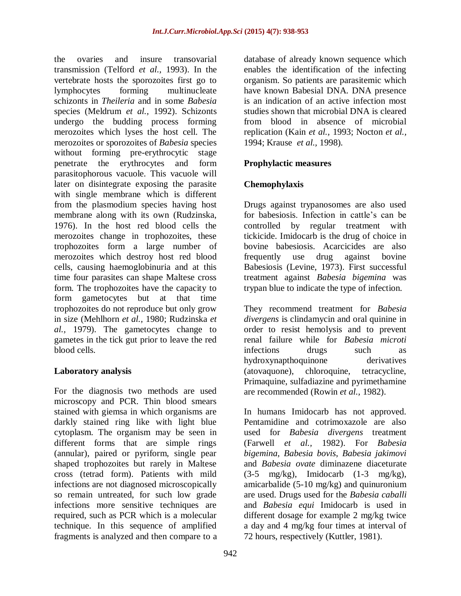the ovaries and insure transovarial transmission (Telford *et al.,* 1993). In the vertebrate hosts the sporozoites first go to lymphocytes forming multinucleate schizonts in *Theileria* and in some *Babesia* species (Meldrum *et al.,* 1992). Schizonts undergo the budding process forming merozoites which lyses the host cell. The merozoites or sporozoites of *Babesia* species without forming pre-erythrocytic stage penetrate the erythrocytes and form parasitophorous vacuole. This vacuole will later on disintegrate exposing the parasite with single membrane which is different from the plasmodium species having host membrane along with its own (Rudzinska, 1976). In the host red blood cells the merozoites change in trophozoites, these trophozoites form a large number of merozoites which destroy host red blood cells, causing haemoglobinuria and at this time four parasites can shape Maltese cross form. The trophozoites have the capacity to form gametocytes but at that time trophozoites do not reproduce but only grow in size (Mehlhorn *et al.,* 1980; Rudzinska *et al.,* 1979). The gametocytes change to gametes in the tick gut prior to leave the red blood cells.

### **Laboratory analysis**

For the diagnosis two methods are used microscopy and PCR. Thin blood smears stained with giemsa in which organisms are darkly stained ring like with light blue cytoplasm. The organism may be seen in different forms that are simple rings (annular), paired or pyriform, single pear shaped trophozoites but rarely in Maltese cross (tetrad form). Patients with mild infections are not diagnosed microscopically so remain untreated, for such low grade infections more sensitive techniques are required, such as PCR which is a molecular technique. In this sequence of amplified fragments is analyzed and then compare to a

942

database of already known sequence which enables the identification of the infecting organism. So patients are parasitemic which have known Babesial DNA. DNA presence is an indication of an active infection most studies shown that microbial DNA is cleared from blood in absence of microbial replication (Kain *et al.,* 1993; Nocton *et al.,* 1994; Krause *et al.,* 1998).

### **Prophylactic measures**

### **Chemophylaxis**

Drugs against trypanosomes are also used for babesiosis. Infection in cattle's can be controlled by regular treatment with tickicide. Imidocarb is the drug of choice in bovine babesiosis. Acarcicides are also frequently use drug against bovine Babesiosis (Levine, 1973). First successful treatment against *Babesia bigemina* was trypan blue to indicate the type of infection.

They recommend treatment for *Babesia divergens* is clindamycin and oral quinine in order to resist hemolysis and to prevent renal failure while for *Babesia microti* infections drugs such as hydroxynapthoquinone derivatives (atovaquone), chloroquine, tetracycline, Primaquine, sulfadiazine and pyrimethamine are recommended (Rowin *et al.,* 1982).

In humans Imidocarb has not approved. Pentamidine and cotrimoxazole are also used for *Babesia divergens* treatment (Farwell *et al.,* 1982). For *Babesia bigemina*, *Babesia bovis*, *Babesia jakimovi*  and *Babesia ovate* diminazene diaceturate  $(3-5 \text{ mg/kg})$ , Imidocarb  $(1-3 \text{ mg/kg})$ , amicarbalide (5-10 mg/kg) and quinuronium are used. Drugs used for the *Babesia caballi* and *Babesia equi* Imidocarb is used in different dosage for example 2 mg/kg twice a day and 4 mg/kg four times at interval of 72 hours, respectively (Kuttler, 1981).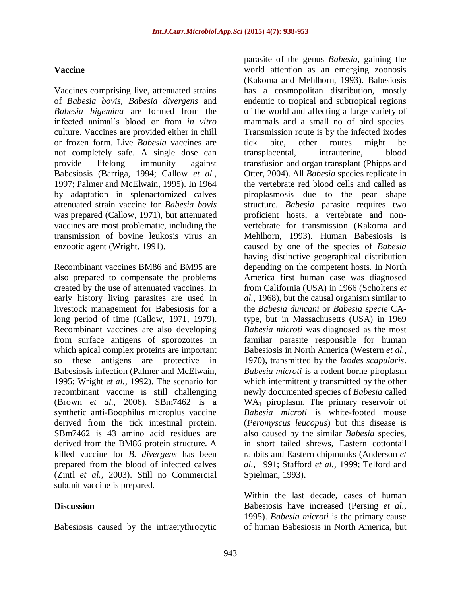## **Vaccine**

Vaccines comprising live, attenuated strains of *Babesia bovis*, *Babesia divergens* and *Babesia bigemina* are formed from the infected animal's blood or from *in vitro* culture. Vaccines are provided either in chill or frozen form. Live *Babesia* vaccines are not completely safe. A single dose can provide lifelong immunity against Babesiosis (Barriga, 1994; Callow *et al.,* 1997; Palmer and McElwain, 1995). In 1964 by adaptation in splenactomized calves attenuated strain vaccine for *Babesia bovis*  was prepared (Callow, 1971), but attenuated vaccines are most problematic, including the transmission of bovine leukosis virus an enzootic agent (Wright, 1991).

Recombinant vaccines BM86 and BM95 are also prepared to compensate the problems created by the use of attenuated vaccines. In early history living parasites are used in livestock management for Babesiosis for a long period of time (Callow, 1971, 1979). Recombinant vaccines are also developing from surface antigens of sporozoites in which apical complex proteins are important so these antigens are protective in Babesiosis infection (Palmer and McElwain, 1995; Wright *et al.,* 1992). The scenario for recombinant vaccine is still challenging (Brown *et al.,* 2006). SBm7462 is a synthetic anti-Boophilus microplus vaccine derived from the tick intestinal protein. SBm7462 is 43 amino acid residues are derived from the BM86 protein structure. A killed vaccine for *B. divergens* has been prepared from the blood of infected calves (Zintl *et al.,* 2003). Still no Commercial subunit vaccine is prepared.

### **Discussion**

Babesiosis caused by the intraerythrocytic

parasite of the genus *Babesia*, gaining the world attention as an emerging zoonosis (Kakoma and Mehlhorn, 1993). Babesiosis has a cosmopolitan distribution, mostly endemic to tropical and subtropical regions of the world and affecting a large variety of mammals and a small no of bird species. Transmission route is by the infected ixodes tick bite, other routes might be transplacental, intrauterine, blood transfusion and organ transplant (Phipps and Otter, 2004). All *Babesia* species replicate in the vertebrate red blood cells and called as piroplasmosis due to the pear shape structure. *Babesia* parasite requires two proficient hosts, a vertebrate and nonvertebrate for transmission (Kakoma and Mehlhorn, 1993). Human Babesiosis is caused by one of the species of *Babesia* having distinctive geographical distribution depending on the competent hosts. In North America first human case was diagnosed from California (USA) in 1966 (Scholtens *et al.,* 1968), but the causal organism similar to the *Babesia duncani* or *Babesia specie* CAtype, but in Massachusetts (USA) in 1969 *Babesia microti* was diagnosed as the most familiar parasite responsible for human Babesiosis in North America (Western *et al.,* 1970), transmitted by the *Ixodes scapularis*. *Babesia microti* is a rodent borne piroplasm which intermittently transmitted by the other newly documented species of *Babesia* called  $WA<sub>1</sub>$  piroplasm. The primary reservoir of *Babesia microti* is white-footed mouse (*Peromyscus leucopus*) but this disease is also caused by the similar *Babesia* species, in short tailed shrews, Eastern cottontail rabbits and Eastern chipmunks (Anderson *et al.,* 1991; Stafford *et al.,* 1999; Telford and Spielman, 1993).

Within the last decade, cases of human Babesiosis have increased (Persing *et al.,* 1995). *Babesia microti* is the primary cause of human Babesiosis in North America, but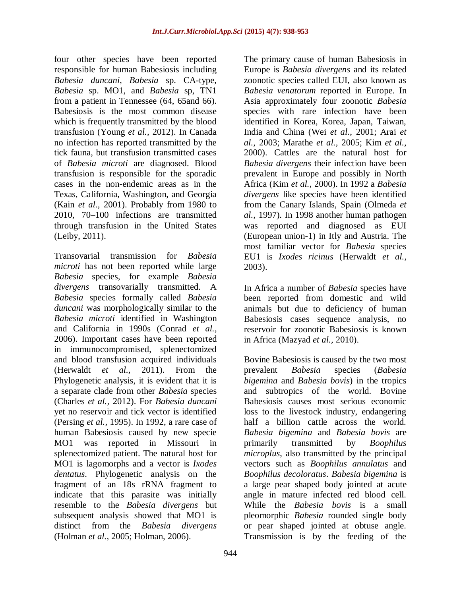four other species have been reported responsible for human Babesiosis including *Babesia duncani*, *Babesia* sp. CA-type, *Babesia* sp. MO1, and *Babesia* sp, TN1 from a patient in Tennessee (64, 65and 66). Babesiosis is the most common disease which is frequently transmitted by the blood transfusion (Young *et al.,* 2012). In Canada no infection has reported transmitted by the tick fauna, but transfusion transmitted cases of *Babesia microti* are diagnosed. Blood transfusion is responsible for the sporadic cases in the non-endemic areas as in the Texas, California, Washington, and Georgia (Kain *et al.,* 2001). Probably from 1980 to 2010, 70–100 infections are transmitted through transfusion in the United States (Leiby, 2011).

Transovarial transmission for *Babesia microti* has not been reported while large *Babesia* species, for example *Babesia divergens* transovarially transmitted. A *Babesia* species formally called *Babesia duncani* was morphologically similar to the *Babesia microti* identified in Washington and California in 1990s (Conrad *et al.,* 2006). Important cases have been reported in immunocompromised, splenectomized and blood transfusion acquired individuals (Herwaldt *et al.,* 2011). From the Phylogenetic analysis, it is evident that it is a separate clade from other *Babesia* species (Charles *et al.,* 2012). For *Babesia duncani* yet no reservoir and tick vector is identified (Persing *et al.,* 1995). In 1992, a rare case of human Babesiosis caused by new specie MO1 was reported in Missouri in splenectomized patient. The natural host for MO1 is lagomorphs and a vector is *Ixodes dentatus*. Phylogenetic analysis on the fragment of an 18s rRNA fragment to indicate that this parasite was initially resemble to the *Babesia divergens* but subsequent analysis showed that MO1 is distinct from the *Babesia divergens* (Holman *et al.,* 2005; Holman, 2006).

The primary cause of human Babesiosis in Europe is *Babesia divergens* and its related zoonotic species called EUI, also known as *Babesia venatorum* reported in Europe. In Asia approximately four zoonotic *Babesia* species with rare infection have been identified in Korea, Korea, Japan, Taiwan, India and China (Wei *et al.,* 2001; Arai *et al.,* 2003; Marathe *et al.,* 2005; Kim *et al.,* 2000). Cattles are the natural host for *Babesia divergens* their infection have been prevalent in Europe and possibly in North Africa (Kim *et al.,* 2000). In 1992 a *Babesia divergens* like species have been identified from the Canary Islands, Spain (Olmeda *et al.,* 1997). In 1998 another human pathogen was reported and diagnosed as EUI (European union-1) in Itly and Austria. The most familiar vector for *Babesia* species EU1 is *Ixodes ricinus* (Herwaldt *et al.,* 2003).

In Africa a number of *Babesia* species have been reported from domestic and wild animals but due to deficiency of human Babesiosis cases sequence analysis, no reservoir for zoonotic Babesiosis is known in Africa (Mazyad *et al.,* 2010).

Bovine Babesiosis is caused by the two most prevalent *Babesia* species (*Babesia bigemina* and *Babesia bovis*) in the tropics and subtropics of the world. Bovine Babesiosis causes most serious economic loss to the livestock industry, endangering half a billion cattle across the world. *Babesia bigemina* and *Babesia bovis* are primarily transmitted by *Boophilus microplus*, also transmitted by the principal vectors such as *Boophilus annulatus* and *Boophilus decoloratus*. *Babesia bigemina* is a large pear shaped body jointed at acute angle in mature infected red blood cell. While the *Babesia bovis* is a small pleomorphic *Babesia* rounded single body or pear shaped jointed at obtuse angle. Transmission is by the feeding of the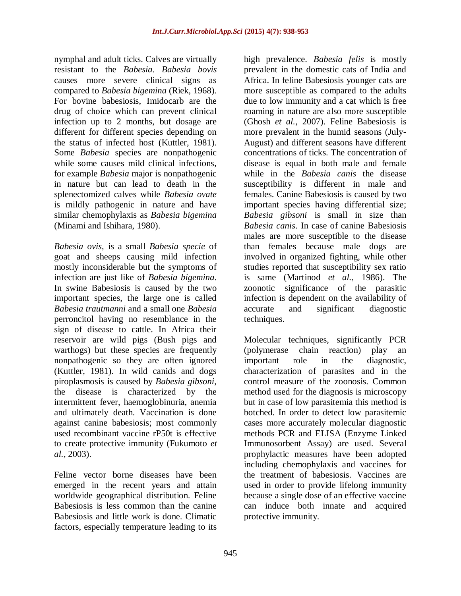nymphal and adult ticks. Calves are virtually resistant to the *Babesia*. *Babesia bovis*  causes more severe clinical signs as compared to *Babesia bigemina* (Riek, 1968). For bovine babesiosis, Imidocarb are the drug of choice which can prevent clinical infection up to 2 months, but dosage are different for different species depending on the status of infected host (Kuttler, 1981). Some *Babesia* species are nonpathogenic while some causes mild clinical infections, for example *Babesia* major is nonpathogenic in nature but can lead to death in the splenectomized calves while *Babesia ovate*  is mildly pathogenic in nature and have similar chemophylaxis as *Babesia bigemina*  (Minami and Ishihara, 1980).

*Babesia ovis,* is a small *Babesia specie* of goat and sheeps causing mild infection mostly inconsiderable but the symptoms of infection are just like of *Babesia bigemina*. In swine Babesiosis is caused by the two important species, the large one is called *Babesia trautmanni* and a small one *Babesia* perroncitol having no resemblance in the sign of disease to cattle. In Africa their reservoir are wild pigs (Bush pigs and warthogs) but these species are frequently nonpathogenic so they are often ignored (Kuttler, 1981). In wild canids and dogs piroplasmosis is caused by *Babesia gibsoni*, the disease is characterized by the intermittent fever, haemoglobinuria, anemia and ultimately death. Vaccination is done against canine babesiosis; most commonly used recombinant vaccine rP50t is effective to create protective immunity (Fukumoto *et al.,* 2003).

Feline vector borne diseases have been emerged in the recent years and attain worldwide geographical distribution. Feline Babesiosis is less common than the canine Babesiosis and little work is done. Climatic factors, especially temperature leading to its

high prevalence. *Babesia felis* is mostly prevalent in the domestic cats of India and Africa. In feline Babesiosis younger cats are more susceptible as compared to the adults due to low immunity and a cat which is free roaming in nature are also more susceptible (Ghosh *et al.,* 2007). Feline Babesiosis is more prevalent in the humid seasons (July-August) and different seasons have different concentrations of ticks. The concentration of disease is equal in both male and female while in the *Babesia canis* the disease susceptibility is different in male and females. Canine Babesiosis is caused by two important species having differential size; *Babesia gibsoni* is small in size than *Babesia canis*. In case of canine Babesiosis males are more susceptible to the disease than females because male dogs are involved in organized fighting, while other studies reported that susceptibility sex ratio is same (Martinod *et al.,* 1986). The zoonotic significance of the parasitic infection is dependent on the availability of accurate and significant diagnostic techniques.

Molecular techniques, significantly PCR (polymerase chain reaction) play an important role in the diagnostic, characterization of parasites and in the control measure of the zoonosis. Common method used for the diagnosis is microscopy but in case of low parasitemia this method is botched. In order to detect low parasitemic cases more accurately molecular diagnostic methods PCR and ELISA (Enzyme Linked Immunosorbent Assay) are used. Several prophylactic measures have been adopted including chemophylaxis and vaccines for the treatment of babesiosis. Vaccines are used in order to provide lifelong immunity because a single dose of an effective vaccine can induce both innate and acquired protective immunity.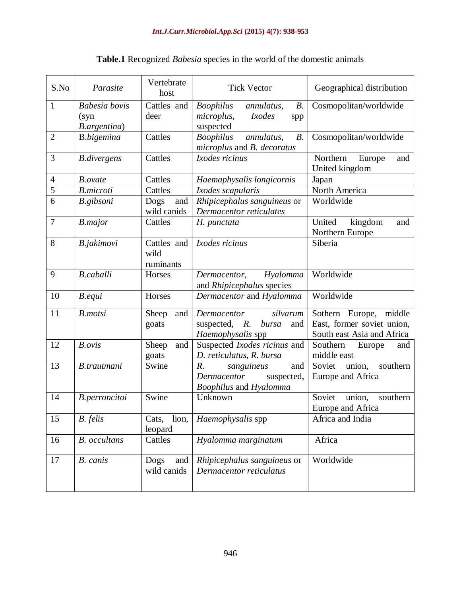| S.No           | Parasite                                     | Vertebrate<br>host               | <b>Tick Vector</b>                                                                                    | Geographical distribution                                                          |
|----------------|----------------------------------------------|----------------------------------|-------------------------------------------------------------------------------------------------------|------------------------------------------------------------------------------------|
| $\mathbf{1}$   | <b>Babesia</b> bovis<br>(syn<br>B.argentina) | Cattles and<br>deer              | <b>Boophilus</b><br>B.<br>annulatus,<br>microplus,<br><i>Ixodes</i><br>spp<br>suspected               | Cosmopolitan/worldwide                                                             |
| $\overline{2}$ | <b>B.</b> bigemina                           | Cattles                          | <b>Boophilus</b><br>annulatus,<br>B.<br>microplus and B. decoratus                                    | Cosmopolitan/worldwide                                                             |
| 3              | <b>B.divergens</b>                           | Cattles                          | Ixodes ricinus                                                                                        | Northern<br>Europe<br>and<br>United kingdom                                        |
| $\overline{4}$ | <b>B.</b> ovate                              | Cattles                          | Haemaphysalis longicornis                                                                             | Japan                                                                              |
| $\overline{5}$ | <b>B.microti</b>                             | Cattles                          | Ixodes scapularis                                                                                     | North America                                                                      |
| 6              | B.gibsoni                                    | Dogs<br>and<br>wild canids       | Rhipicephalus sanguineus or<br>Dermacentor reticulates                                                | Worldwide                                                                          |
| $\tau$         | <b>B.major</b>                               | Cattles                          | H. punctata                                                                                           | United<br>kingdom<br>and<br>Northern Europe                                        |
| 8              | B.jakimovi                                   | Cattles and<br>wild<br>ruminants | Ixodes ricinus                                                                                        | Siberia                                                                            |
| 9              | <b>B.caballi</b>                             | Horses                           | Dermacentor,<br>Hyalomma<br>and Rhipicephalus species                                                 | Worldwide                                                                          |
| 10             | B.equi                                       | Horses                           | Dermacentor and Hyalomma                                                                              | Worldwide                                                                          |
| 11             | <b>B.motsi</b>                               | Sheep<br>and<br>goats            | silvarum<br>Dermacentor<br>suspected, $R$ .<br>bursa<br>and<br>Haemophysalis spp                      | Sothern Europe, middle<br>East, former soviet union,<br>South east Asia and Africa |
| 12             | B. ovis                                      | Sheep<br>and<br>goats            | Suspected Ixodes ricinus and<br>D. reticulatus, R. bursa                                              | Southern<br>Europe<br>and<br>middle east                                           |
| 13             | B.trautmani                                  | Swine                            | $R_{\cdot}$<br>sanguineus<br>and<br>Dermacentor<br>suspected,<br><i>Boophilus</i> and <i>Hyalomma</i> | Soviet<br>southern<br>union,<br>Europe and Africa                                  |
| 14             | B.perroncitoi                                | Swine                            | Unknown                                                                                               | Soviet<br>union,<br>southern<br>Europe and Africa                                  |
| 15             | B. felis                                     | lion,<br>Cats,<br>leopard        | Haemophysalis spp                                                                                     | Africa and India                                                                   |
| 16             | <b>B.</b> occultans                          | Cattles                          | Hyalomma marginatum                                                                                   | Africa                                                                             |
| 17             | B. canis                                     | Dogs<br>and<br>wild canids       | Rhipicephalus sanguineus or<br>Dermacentor reticulatus                                                | Worldwide                                                                          |

# **Table.1** Recognized *Babesia* species in the world of the domestic animals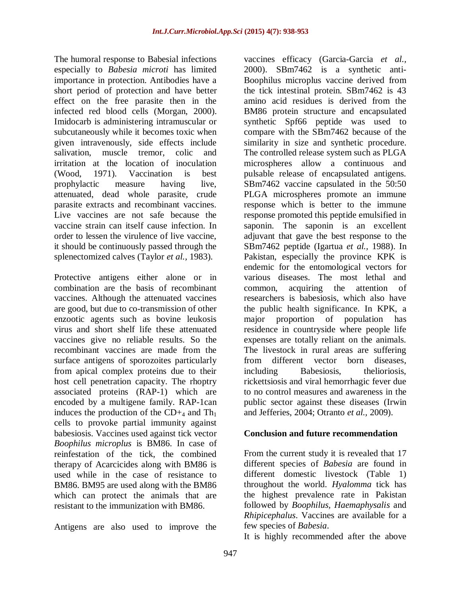The humoral response to Babesial infections especially to *Babesia microti* has limited importance in protection. Antibodies have a short period of protection and have better effect on the free parasite then in the infected red blood cells (Morgan, 2000). Imidocarb is administering intramuscular or subcutaneously while it becomes toxic when given intravenously, side effects include salivation, muscle tremor, colic and irritation at the location of inoculation (Wood, 1971). Vaccination is best prophylactic measure having live, attenuated, dead whole parasite, crude parasite extracts and recombinant vaccines. Live vaccines are not safe because the vaccine strain can itself cause infection. In order to lessen the virulence of live vaccine, it should be continuously passed through the splenectomized calves (Taylor *et al.,* 1983).

Protective antigens either alone or in combination are the basis of recombinant vaccines. Although the attenuated vaccines are good, but due to co-transmission of other enzootic agents such as bovine leukosis virus and short shelf life these attenuated vaccines give no reliable results. So the recombinant vaccines are made from the surface antigens of sporozoites particularly from apical complex proteins due to their host cell penetration capacity. The rhoptry associated proteins (RAP-1) which are encoded by a multigene family. RAP-1can induces the production of the  $CD_{\pm 4}$  and Th<sub>1</sub> cells to provoke partial immunity against babesiosis. Vaccines used against tick vector *Boophilus microplus* is BM86. In case of reinfestation of the tick, the combined therapy of Acarcicides along with BM86 is used while in the case of resistance to BM86. BM95 are used along with the BM86 which can protect the animals that are resistant to the immunization with BM86.

Antigens are also used to improve the

vaccines efficacy (Garcia-Garcia *et al.,* 2000). SBm7462 is a synthetic anti-Boophilus microplus vaccine derived from the tick intestinal protein. SBm7462 is 43 amino acid residues is derived from the BM86 protein structure and encapsulated synthetic Spf66 peptide was used to compare with the SBm7462 because of the similarity in size and synthetic procedure. The controlled release system such as PLGA microspheres allow a continuous and pulsable release of encapsulated antigens. SBm7462 vaccine capsulated in the 50:50 PLGA microspheres promote an immune response which is better to the immune response promoted this peptide emulsified in saponin. The saponin is an excellent adjuvant that gave the best response to the SBm7462 peptide (Igartua *et al.,* 1988). In Pakistan, especially the province KPK is endemic for the entomological vectors for various diseases. The most lethal and common, acquiring the attention of researchers is babesiosis, which also have the public health significance. In KPK, a major proportion of population has residence in countryside where people life expenses are totally reliant on the animals. The livestock in rural areas are suffering from different vector born diseases, including Babesiosis, thelioriosis, rickettsiosis and viral hemorrhagic fever due to no control measures and awareness in the public sector against these diseases (Irwin and Jefferies, 2004; Otranto *et al.,* 2009).

### **Conclusion and future recommendation**

From the current study it is revealed that 17 different species of *Babesia* are found in different domestic livestock (Table 1) throughout the world. *Hyalomma* tick has the highest prevalence rate in Pakistan followed by *Boophilus, Haemaphysalis* and *Rhipicephalus*. Vaccines are available for a few species of *Babesia*.

It is highly recommended after the above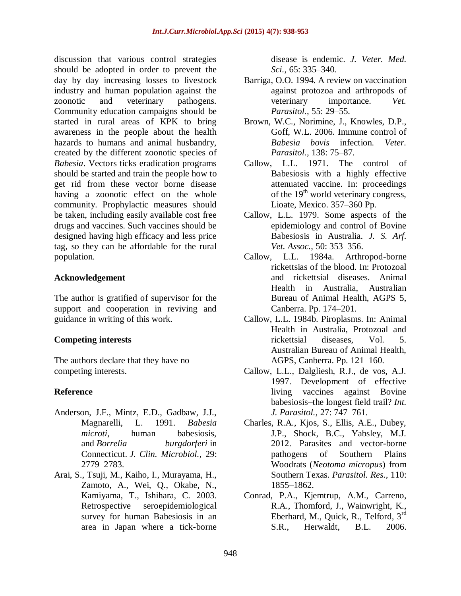discussion that various control strategies should be adopted in order to prevent the day by day increasing losses to livestock industry and human population against the zoonotic and veterinary pathogens. Community education campaigns should be started in rural areas of KPK to bring awareness in the people about the health hazards to humans and animal husbandry, created by the different zoonotic species of *Babesia*. Vectors ticks eradication programs should be started and train the people how to get rid from these vector borne disease having a zoonotic effect on the whole community. Prophylactic measures should be taken, including easily available cost free drugs and vaccines. Such vaccines should be designed having high efficacy and less price tag, so they can be affordable for the rural population.

### **Acknowledgement**

The author is gratified of supervisor for the support and cooperation in reviving and guidance in writing of this work.

# **Competing interests**

The authors declare that they have no competing interests.

# **Reference**

- Anderson, J.F., Mintz, E.D., Gadbaw, J.J., Magnarelli, L. 1991. *Babesia microti*, human babesiosis, and *Borrelia burgdorferi* in Connecticut. *J. Clin. Microbiol.,* 29: 2779–2783.
- Arai, S., Tsuji, M., Kaiho, I., Murayama, H., Zamoto, A., Wei, Q., Okabe, N., Kamiyama, T., Ishihara, C. 2003. Retrospective seroepidemiological survey for human Babesiosis in an area in Japan where a tick-borne

disease is endemic. *J. Veter. Med. Sci.,* 65: 335–340.

- Barriga, O.O. 1994. A review on vaccination against protozoa and arthropods of veterinary importance. *Vet. Parasitol.,* 55: 29–55.
- Brown, W.C., Norimine, J., Knowles, D.P., Goff, W.L. 2006. Immune control of *Babesia bovis* infection. *Veter. Parasitol.,* 138: 75–87.
- Callow, L.L. 1971. The control of Babesiosis with a highly effective attenuated vaccine. In: proceedings of the  $19<sup>th</sup>$  world veterinary congress, Lioate, Mexico. 357–360 Pp.
- Callow, L.L. 1979. Some aspects of the epidemiology and control of Bovine Babesiosis in Australia. *J. S. Arf. Vet. Assoc.,* 50: 353–356.
- Callow, L.L. 1984a. Arthropod-borne rickettsias of the blood. In: Protozoal and rickettsial diseases. Animal Health in Australia, Australian Bureau of Animal Health, AGPS 5, Canberra. Pp. 174–201.
- Callow, L.L. 1984b. Piroplasms. In: Animal Health in Australia, Protozoal and rickettsial diseases, Vol. 5. Australian Bureau of Animal Health, AGPS, Canberra. Pp. 121–160.
- Callow, L.L., Dalgliesh, R.J., de vos, A.J. 1997. Development of effective living vaccines against Bovine babesiosis–the longest field trail? *Int. J. Parasitol.,* 27: 747–761.
- Charles, R.A., Kjos, S., Ellis, A.E., Dubey, J.P., Shock, B.C., Yabsley, M.J. 2012. Parasites and vector-borne pathogens of Southern Plains Woodrats (*Neotoma micropus*) from Southern Texas. *Parasitol. Res.,* 110: 1855–1862.
- Conrad, P.A., Kjemtrup, A.M., Carreno, R.A., Thomford, J., Wainwright, K., Eberhard, M., Quick, R., Telford, 3rd S.R., Herwaldt, B.L. 2006.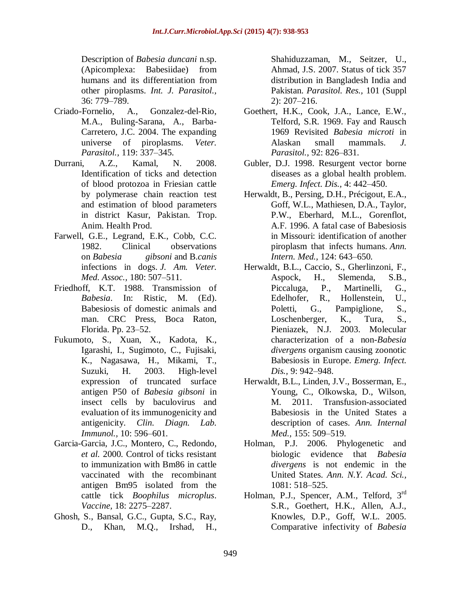Description of *Babesia duncani* n.sp. (Apicomplexa: Babesiidae) from humans and its differentiation from other piroplasms. *Int. J. Parasitol.,*  36: 779–789.

- Criado-Fornelio, A., Gonzalez-del-Rio, M.A., Buling-Sarana, A., Barba-Carretero, J.C. 2004. The expanding universe of piroplasms. *Veter. Parasitol.,* 119: 337–345.
- Durrani, A.Z., Kamal, N. 2008. Identification of ticks and detection of blood protozoa in Friesian cattle by polymerase chain reaction test and estimation of blood parameters in district Kasur, Pakistan. Trop. Anim. Health Prod.
- Farwell, G.E., Legrand, E.K., Cobb, C.C. 1982. Clinical observations on *Babesia gibsoni* and B.*canis* infections in dogs. *J. Am. Veter. Med. Assoc.,* 180: 507–511.
- Friedhoff, K.T. 1988. Transmission of *Babesia*. In: Ristic, M. (Ed). Babesiosis of domestic animals and man. CRC Press, Boca Raton, Florida. Pp. 23–52.
- Fukumoto, S., Xuan, X., Kadota, K., Igarashi, I., Sugimoto, C., Fujisaki, K., Nagasawa, H., Mikami, T., Suzuki, H. 2003. High-level expression of truncated surface antigen P50 of *Babesia gibsoni* in insect cells by baculovirus and evaluation of its immunogenicity and antigenicity. *Clin. Diagn. Lab. Immunol.,* 10: 596–601.
- Garcia-Garcia, J.C., Montero, C., Redondo, *et al.* 2000. Control of ticks resistant to immunization with Bm86 in cattle vaccinated with the recombinant antigen Bm95 isolated from the cattle tick *Boophilus microplus*. *Vaccine,* 18: 2275–2287.
- Ghosh, S., Bansal, G.C., Gupta, S.C., Ray, D., Khan, M.Q., Irshad, H.,

Shahiduzzaman, M., Seitzer, U., Ahmad, J.S. 2007. Status of tick 357 distribution in Bangladesh India and Pakistan. *Parasitol. Res.,* 101 (Suppl 2): 207–216.

- Goethert, H.K., Cook, J.A., Lance, E.W., Telford, S.R. 1969. Fay and Rausch 1969 Revisited *Babesia microti* in Alaskan small mammals. *J. Parasitol.,* 92: 826–831.
- Gubler, D.J. 1998. Resurgent vector borne diseases as a global health problem. *Emerg. Infect. Dis.,* 4: 442–450.
- Herwaldt, B., Persing, D.H., Précigout, E.A., Goff, W.L., Mathiesen, D.A., Taylor, P.W., Eberhard, M.L., Gorenflot, A.F. 1996. A fatal case of Babesiosis in Missouri: identification of another piroplasm that infects humans. *Ann. Intern. Med.,* 124: 643–650.
- Herwaldt, B.L., Caccio, S., Gherlinzoni, F., Aspock, H., Slemenda, S.B., Piccaluga, P., Martinelli, G., Edelhofer, R., Hollenstein, U., Poletti, G., Pampiglione, S., Loschenberger, K., Tura, S., Pieniazek, N.J. 2003. Molecular characterization of a non-*Babesia divergens* organism causing zoonotic Babesiosis in Europe. *Emerg. Infect. Dis.,* 9: 942–948.
- Herwaldt, B.L., Linden, J.V., Bosserman, E., Young, C., Olkowska, D., Wilson, M. 2011. Transfusion-associated Babesiosis in the United States a description of cases. *Ann. Internal Med.,* 155: 509–519.
- Holman, P.J. 2006. Phylogenetic and biologic evidence that *Babesia divergens* is not endemic in the United States. *Ann. N.Y. Acad. Sci.,* 1081: 518–525.
- Holman, P.J., Spencer, A.M., Telford, 3<sup>rd</sup> S.R., Goethert, H.K., Allen, A.J., Knowles, D.P., Goff, W.L. 2005. Comparative infectivity of *Babesia*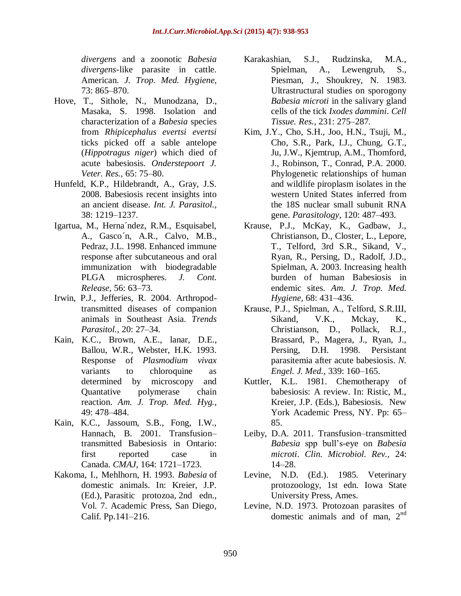*divergens* and a zoonotic *Babesia divergens*-like parasite in cattle. American. *J. Trop. Med. Hygiene,* 73: 865–870.

- Hove, T., Sithole, N., Munodzana, D., Masaka, S. 1998. Isolation and characterization of a *Babesia* species from *Rhipicephalus evertsi evertsi* ticks picked off a sable antelope (*Hippotragus niger*) which died of acute babesiosis. *Onderstepoort J. Veter. Res.,* 65: 75–80.
- Hunfeld, K.P., Hildebrandt, A., Gray, J.S. 2008. Babesiosis recent insights into an ancient disease. *Int. J. Parasitol.,* 38: 1219–1237.
- Igartua, M., Herna´ndez, R.M., Esquisabel, A., Gasco´n, A.R., Calvo, M.B., Pedraz, J.L. 1998. Enhanced immune response after subcutaneous and oral immunization with biodegradable PLGA microspheres. *J. Cont. Release,* 56: 63–73.
- Irwin, P.J., Jefferies, R. 2004. Arthropodtransmitted diseases of companion animals in Southeast Asia. *Trends Parasitol.,* 20: 27–34.
- Kain, K.C., Brown, A.E., lanar, D.E., Ballou, W.R., Webster, H.K. 1993. Response of *Plasmodium vivax*  variants to chloroquine as determined by microscopy and Quantative polymerase chain reaction. *Am. J. Trop. Med. Hyg.,* 49: 478–484.
- Kain, K.C., Jassoum, S.B., Fong, I.W., Hannach, B. 2001. Transfusion– transmitted Babesiosis in Ontario: first reported case in Canada. *CMAJ,* 164: 1721–1723.
- Kakoma, I., Mehlhorn, H. 1993. *Babesia* of domestic animals. In: Kreier, J.P. (Ed.), Parasitic protozoa, 2nd edn., Vol. 7. Academic Press, San Diego, Calif. Pp.141–216.
- Karakashian, S.J., Rudzinska, M.A., Spielman, A., Lewengrub, S., Piesman, J., Shoukrey, N. 1983. Ultrastructural studies on sporogony *Babesia microti* in the salivary gland cells of the tick *Ixodes dammini*. *Cell Tissue. Res.,* 231: 275–287.
- Kim, J.Y., Cho, S.H., Joo, H.N., Tsuji, M., Cho, S.R., Park, I.J., Chung, G.T., Ju, J.W., Kjemtrup, A.M., Thomford, J., Robinson, T., Conrad, P.A. 2000. Phylogenetic relationships of human and wildlife piroplasm isolates in the western United States inferred from the 18S nuclear small subunit RNA gene. *Parasitology,* 120: 487–493.
- Krause, P.J., McKay, K., Gadbaw, J., Christianson, D., Closter, L., Lepore, T., Telford, 3rd S.R., Sikand, V., Ryan, R., Persing, D., Radolf, J.D., Spielman, A. 2003. Increasing health burden of human Babesiosis in endemic sites. *Am. J. Trop. Med. Hygiene,* 68: 431–436.
- Krause, P.J., Spielman, A., Telford, S.R.Ш, Sikand, V.K., Mckay, K., Christianson, D., Pollack, R.J., Brassard, P., Magera, J., Ryan, J., Persing, D.H. 1998. Persistant parasitemia after acute babesiosis. *N. Engel. J. Med.,* 339: 160–165.
- Kuttler, K.L. 1981. Chemotherapy of babesiosis: A review. In: Ristic, M., Kreier, J.P. (Eds.), Babesiosis. New York Academic Press, NY. Pp: 65– 85.
- Leiby, D.A. 2011. Transfusion–transmitted *Babesia* spp bull's-eye on *Babesia microti*. *Clin. Microbiol. Rev.,* 24: 14–28.
- Levine, N.D. (Ed.). 1985. Veterinary protozoology, 1st edn. Iowa State University Press, Ames.
- Levine, N.D. 1973. Protozoan parasites of domestic animals and of man,  $2<sup>nd</sup>$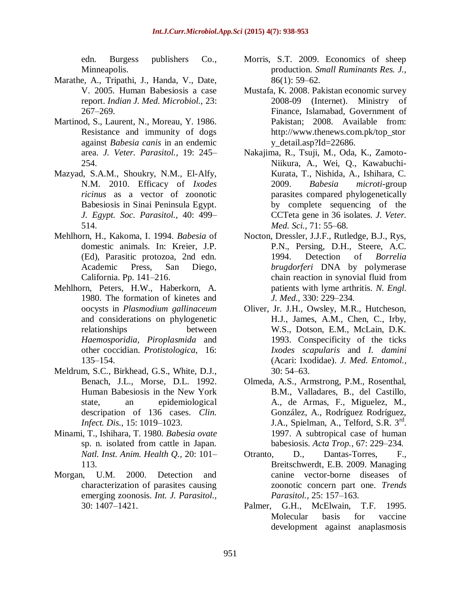edn. Burgess publishers Co., Minneapolis.

- Marathe, A., Tripathi, J., Handa, V., Date, V. 2005. Human Babesiosis a case report. *Indian J. Med. Microbiol.,* 23: 267–269.
- Martinod, S., Laurent, N., Moreau, Y. 1986. Resistance and immunity of dogs against *Babesia canis* in an endemic area. *J. Veter. Parasitol.,* 19: 245– 254.
- Mazyad, S.A.M., Shoukry, N.M., El-Alfy, N.M. 2010. Efficacy of *Ixodes ricinus* as a vector of zoonotic Babesiosis in Sinai Peninsula Egypt. *J. Egypt. Soc. Parasitol.,* 40: 499– 514.
- Mehlhorn, H., Kakoma, I. 1994. *Babesia* of domestic animals. In: Kreier, J.P. (Ed), Parasitic protozoa, 2nd edn. Academic Press, San Diego, California. Pp. 141–216.
- Mehlhorn, Peters, H.W., Haberkorn, A. 1980. The formation of kinetes and oocysts in *Plasmodium gallinaceum*  and considerations on phylogenetic relationships between *Haemosporidia, Piroplasmida* and other coccidian. *Protistologica,* 16: 135–154.
- Meldrum, S.C., Birkhead, G.S., White, D.J., Benach, J.L., Morse, D.L. 1992. Human Babesiosis in the New York state, an epidemiological descripation of 136 cases. *Clin. Infect. Dis.,* 15: 1019–1023.
- Minami, T., Ishihara, T. 1980. *Babesia ovate*  sp. n. isolated from cattle in Japan. *Natl. Inst. Anim. Health Q.,* 20: 101– 113.
- Morgan, U.M. 2000. Detection and characterization of parasites causing emerging zoonosis. *Int. J. Parasitol.,* 30: 1407–1421.
- Morris, S.T. 2009. Economics of sheep production. *Small Ruminants Res. J.,* 86(1): 59–62.
- Mustafa, K. 2008. Pakistan economic survey 2008-09 (Internet). Ministry of Finance, Islamabad, Government of Pakistan; 2008. Available from: http://www.thenews.com.pk/top\_stor y\_detail.asp?Id=22686.
- Nakajima, R., Tsuji, M., Oda, K., Zamoto-Niikura, A., Wei, Q., Kawabuchi-Kurata, T., Nishida, A., Ishihara, C. 2009. *Babesia microti*-group parasites compared phylogenetically by complete sequencing of the CCTeta gene in 36 isolates. *J. Veter. Med. Sci.,* 71: 55–68.
- Nocton, Dressler, J.J.F., Rutledge, B.J., Rys, P.N., Persing, D.H., Steere, A.C. 1994. Detection of *Borrelia brugdorferi* DNA by polymerase chain reaction in synovial fluid from patients with lyme arthritis. *N. Engl. J. Med.,* 330: 229–234.
- Oliver, Jr. J.H., Owsley, M.R., Hutcheson, H.J., James, A.M., Chen, C., Irby, W.S., Dotson, E.M., McLain, D.K. 1993. Conspecificity of the ticks *Ixodes scapularis* and *I. damini* (Acari: Ixodidae). *J. Med. Entomol.,* 30: 54–63.
- Olmeda, A.S., Armstrong, P.M., Rosenthal, B.M., Valladares, B., del Castillo, A., de Armas, F., Miguelez, M., González, A., Rodríguez Rodríguez, J.A., Spielman, A., Telford, S.R. 3rd. 1997. A subtropical case of human babesiosis. *Acta Trop.,* 67: 229–234.
- Otranto, D., Dantas-Torres, F., Breitschwerdt, E.B. 2009. Managing canine vector-borne diseases of zoonotic concern part one. *Trends Parasitol.,* 25: 157–163.
- Palmer, G.H., McElwain, T.F. 1995. Molecular basis for vaccine development against anaplasmosis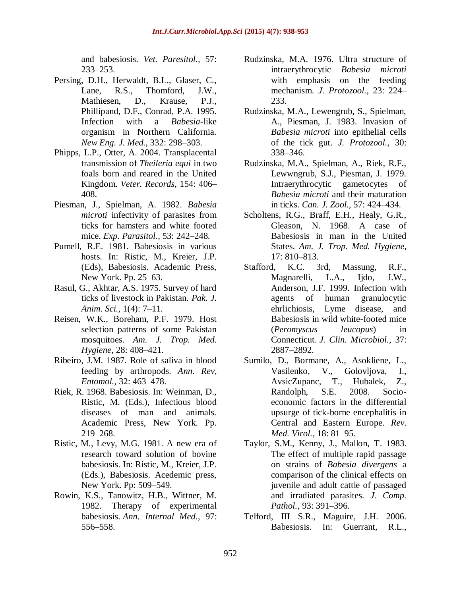and babesiosis. *Vet. Paresitol.,* 57: 233–253.

- Persing, D.H., Herwaldt, B.L., Glaser, C., Lane, R.S., Thomford, J.W., Mathiesen, D., Krause, P.J., Phillipand, D.F., Conrad, P.A. 1995. Infection with a *Babesia*-like organism in Northern California. *New Eng. J. Med.,* 332: 298–303.
- Phipps, L.P., Otter, A. 2004. Transplacental transmission of *Theileria equi* in two foals born and reared in the United Kingdom. *Veter. Records,* 154: 406– 408.
- Piesman, J., Spielman, A. 1982. *Babesia microti* infectivity of parasites from ticks for hamsters and white footed mice. *Exp. Parasitol.,* 53: 242–248.
- Pumell, R.E. 1981. Babesiosis in various hosts. In: Ristic, M., Kreier, J.P. (Eds), Babesiosis. Academic Press, New York. Pp. 25–63.
- Rasul, G., Akhtar, A.S. 1975. Survey of hard ticks of livestock in Pakistan. *Pak. J. Anim. Sci.,* 1(4): 7–11.
- Reisen, W.K., Boreham, P.F. 1979. Host selection patterns of some Pakistan mosquitoes. *Am. J. Trop. Med. Hygiene,* 28: 408–421.
- Ribeiro, J.M. 1987. Role of saliva in blood feeding by arthropods. *Ann. Rev, Entomol.,* 32: 463–478.
- Riek, R. 1968. Babesiosis. In: Weinman, D., Ristic, M. (Eds.), Infectious blood diseases of man and animals. Academic Press, New York. Pp. 219–268.
- Ristic, M., Levy, M.G. 1981. A new era of research toward solution of bovine babesiosis. In: Ristic, M., Kreier, J.P. (Eds.), Babesiosis. Acedemic press, New York. Pp: 509–549.
- Rowin, K.S., Tanowitz, H.B., Wittner, M. 1982. Therapy of experimental babesiosis. *Ann. Internal Med.,* 97: 556–558.
- Rudzinska, M.A. 1976. Ultra structure of intraerythrocytic *Babesia microti* with emphasis on the feeding mechanism. *J. Protozool.,* 23: 224– 233.
- Rudzinska, M.A., Lewengrub, S., Spielman, A., Piesman, J. 1983. Invasion of *Babesia microti* into epithelial cells of the tick gut. *J. Protozool.,* 30: 338–346.
- Rudzinska, M.A., Spielman, A., Riek, R.F., Lewwngrub, S.J., Piesman, J. 1979. Intraerythrocytic gametocytes of *Babesia microti* and their maturation in ticks. *Can. J. Zool.,* 57: 424–434.
- Scholtens, R.G., Braff, E.H., Healy, G.R., Gleason, N. 1968. A case of Babesiosis in man in the United States. *Am. J. Trop. Med. Hygiene,* 17: 810–813.
- Stafford, K.C. 3rd, Massung, R.F., Magnarelli, L.A., Ijdo, J.W., Anderson, J.F. 1999. Infection with agents of human granulocytic ehrlichiosis, Lyme disease, and Babesiosis in wild white-footed mice (*Peromyscus leucopus*) in Connecticut. *J. Clin. Microbiol.,* 37: 2887–2892.
- Sumilo, D., Bormane, A., Asokliene, L., Vasilenko, V., Golovljova, I., AvsicZupanc, T., Hubalek, Z., Randolph, S.E. 2008. Socioeconomic factors in the differential upsurge of tick-borne encephalitis in Central and Eastern Europe. *Rev. Med. Virol.,* 18: 81–95.
- Taylor, S.M., Kenny, J., Mallon, T. 1983. The effect of multiple rapid passage on strains of *Babesia divergens* a comparison of the clinical effects on juvenile and adult cattle of passaged and irradiated parasites. *J. Comp. Pathol.,* 93: 391–396.
- Telford, III S.R., Maguire, J.H. 2006. Babesiosis. In: Guerrant, R.L.,